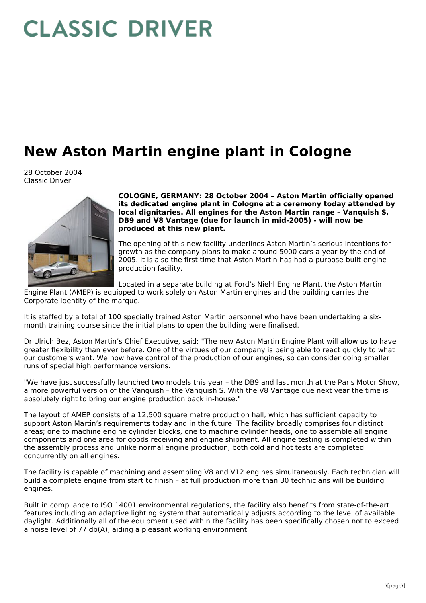## **CLASSIC DRIVER**

## **New Aston Martin engine plant in Cologne**

28 October 2004 Classic Driver



**COLOGNE, GERMANY: 28 October 2004 – Aston Martin officially opened its dedicated engine plant in Cologne at a ceremony today attended by local dignitaries. All engines for the Aston Martin range – Vanquish S, DB9 and V8 Vantage (due for launch in mid-2005) - will now be produced at this new plant.**

The opening of this new facility underlines Aston Martin's serious intentions for growth as the company plans to make around 5000 cars a year by the end of 2005. It is also the first time that Aston Martin has had a purpose-built engine production facility.

Located in a separate building at Ford's Niehl Engine Plant, the Aston Martin

Engine Plant (AMEP) is equipped to work solely on Aston Martin engines and the building carries the Corporate Identity of the marque.

It is staffed by a total of 100 specially trained Aston Martin personnel who have been undertaking a six month training course since the initial plans to open the building were finalised.

Dr Ulrich Bez, Aston Martin's Chief Executive, said: "The new Aston Martin Engine Plant will allow us to have greater flexibility than ever before. One of the virtues of our company is being able to react quickly to what our customers want. We now have control of the production of our engines, so can consider doing smaller runs of special high performance versions.

"We have just successfully launched two models this year – the DB9 and last month at the Paris Motor Show, a more powerful version of the Vanquish – the Vanquish S. With the V8 Vantage due next year the time is absolutely right to bring our engine production back in-house."

The layout of AMEP consists of a 12,500 square metre production hall, which has sufficient capacity to support Aston Martin's requirements today and in the future. The facility broadly comprises four distinct areas; one to machine engine cylinder blocks, one to machine cylinder heads, one to assemble all engine components and one area for goods receiving and engine shipment. All engine testing is completed within the assembly process and unlike normal engine production, both cold and hot tests are completed concurrently on all engines.

The facility is capable of machining and assembling V8 and V12 engines simultaneously. Each technician will build a complete engine from start to finish – at full production more than 30 technicians will be building engines.

Built in compliance to ISO 14001 environmental regulations, the facility also benefits from state-of-the-art features including an adaptive lighting system that automatically adjusts according to the level of available daylight. Additionally all of the equipment used within the facility has been specifically chosen not to exceed a noise level of 77 db(A), aiding a pleasant working environment.